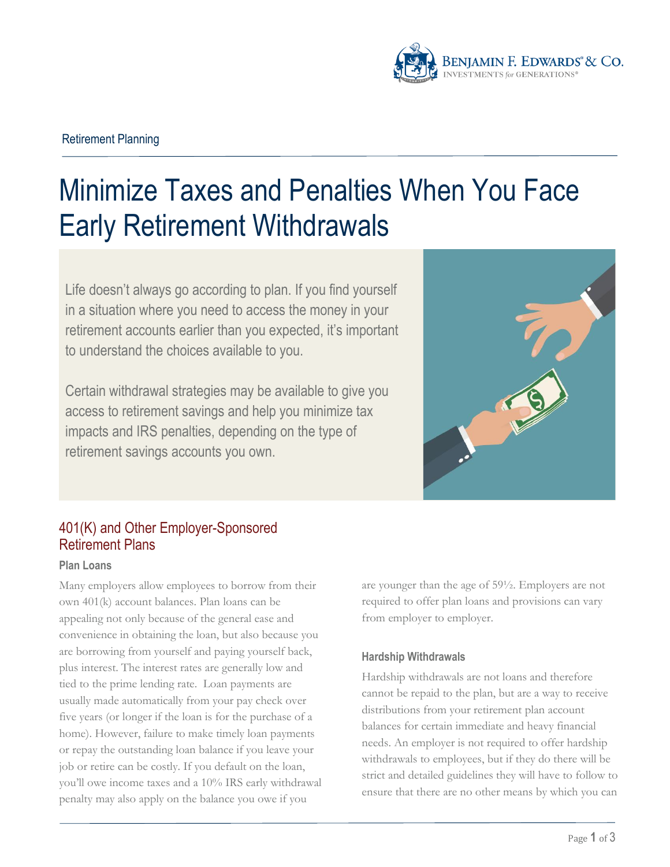

# Retirement Planning

# Minimize Taxes and Penalties When You Face Early Retirement Withdrawals

Life doesn't always go according to plan. If you find yourself in a situation where you need to access the money in your retirement accounts earlier than you expected, it's important to understand the choices available to you.

Certain withdrawal strategies may be available to give you access to retirement savings and help you minimize tax impacts and IRS penalties, depending on the type of retirement savings accounts you own.



# 401(K) and Other Employer-Sponsored Retirement Plans

### **Plan Loans**

Many employers allow employees to borrow from their own 401(k) account balances. Plan loans can be appealing not only because of the general ease and convenience in obtaining the loan, but also because you are borrowing from yourself and paying yourself back, plus interest. The interest rates are generally low and tied to the prime lending rate. Loan payments are usually made automatically from your pay check over five years (or longer if the loan is for the purchase of a home). However, failure to make timely loan payments or repay the outstanding loan balance if you leave your job or retire can be costly. If you default on the loan, you'll owe income taxes and a 10% IRS early withdrawal penalty may also apply on the balance you owe if you

are younger than the age of 59½. Employers are not required to offer plan loans and provisions can vary from employer to employer.

## **Hardship Withdrawals**

Hardship withdrawals are not loans and therefore cannot be repaid to the plan, but are a way to receive distributions from your retirement plan account balances for certain immediate and heavy financial needs. An employer is not required to offer hardship withdrawals to employees, but if they do there will be strict and detailed guidelines they will have to follow to ensure that there are no other means by which you can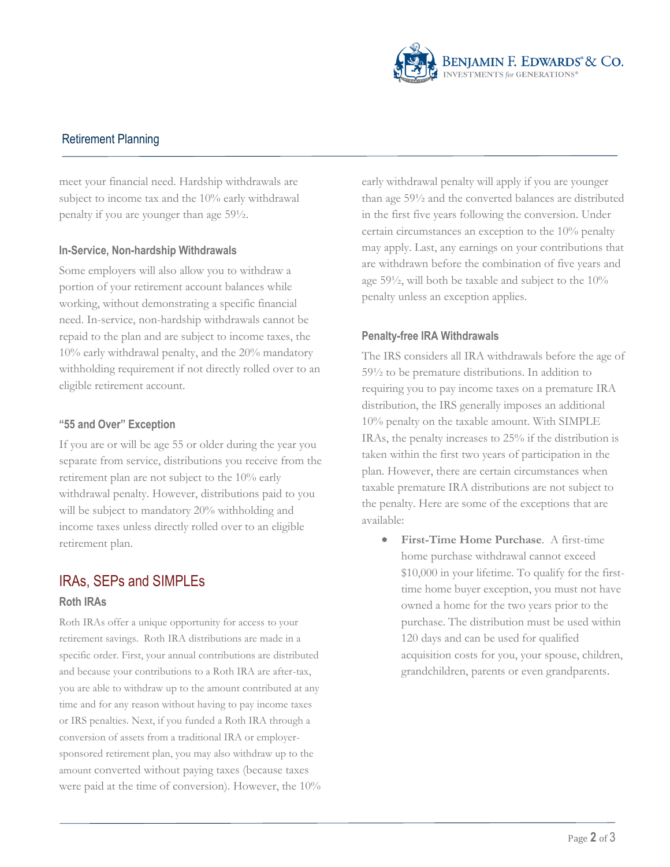

# Retirement Planning

meet your financial need. Hardship withdrawals are subject to income tax and the 10% early withdrawal penalty if you are younger than age 59½.

### **In-Service, Non-hardship Withdrawals**

Some employers will also allow you to withdraw a portion of your retirement account balances while working, without demonstrating a specific financial need. In-service, non-hardship withdrawals cannot be repaid to the plan and are subject to income taxes, the 10% early withdrawal penalty, and the 20% mandatory withholding requirement if not directly rolled over to an eligible retirement account.

### **"55 and Over" Exception**

If you are or will be age 55 or older during the year you separate from service, distributions you receive from the retirement plan are not subject to the 10% early withdrawal penalty. However, distributions paid to you will be subject to mandatory 20% withholding and income taxes unless directly rolled over to an eligible retirement plan.

# IRAs, SEPs and SIMPLEs

### **Roth IRAs**

Roth IRAs offer a unique opportunity for access to your retirement savings. Roth IRA distributions are made in a specific order. First, your annual contributions are distributed and because your contributions to a Roth IRA are after-tax, you are able to withdraw up to the amount contributed at any time and for any reason without having to pay income taxes or IRS penalties. Next, if you funded a Roth IRA through a conversion of assets from a traditional IRA or employersponsored retirement plan, you may also withdraw up to the amount converted without paying taxes (because taxes were paid at the time of conversion). However, the 10% early withdrawal penalty will apply if you are younger than age 59½ and the converted balances are distributed in the first five years following the conversion. Under certain circumstances an exception to the 10% penalty may apply. Last, any earnings on your contributions that are withdrawn before the combination of five years and age 59½, will both be taxable and subject to the 10% penalty unless an exception applies.

### **Penalty-free IRA Withdrawals**

The IRS considers all IRA withdrawals before the age of 59½ to be premature distributions. In addition to requiring you to pay income taxes on a premature IRA distribution, the IRS generally imposes an additional 10% penalty on the taxable amount. With SIMPLE IRAs, the penalty increases to 25% if the distribution is taken within the first two years of participation in the plan. However, there are certain circumstances when taxable premature IRA distributions are not subject to the penalty. Here are some of the exceptions that are available:

 **First-Time Home Purchase**. A first-time home purchase withdrawal cannot exceed \$10,000 in your lifetime. To qualify for the firsttime home buyer exception, you must not have owned a home for the two years prior to the purchase. The distribution must be used within 120 days and can be used for qualified acquisition costs for you, your spouse, children, grandchildren, parents or even grandparents.